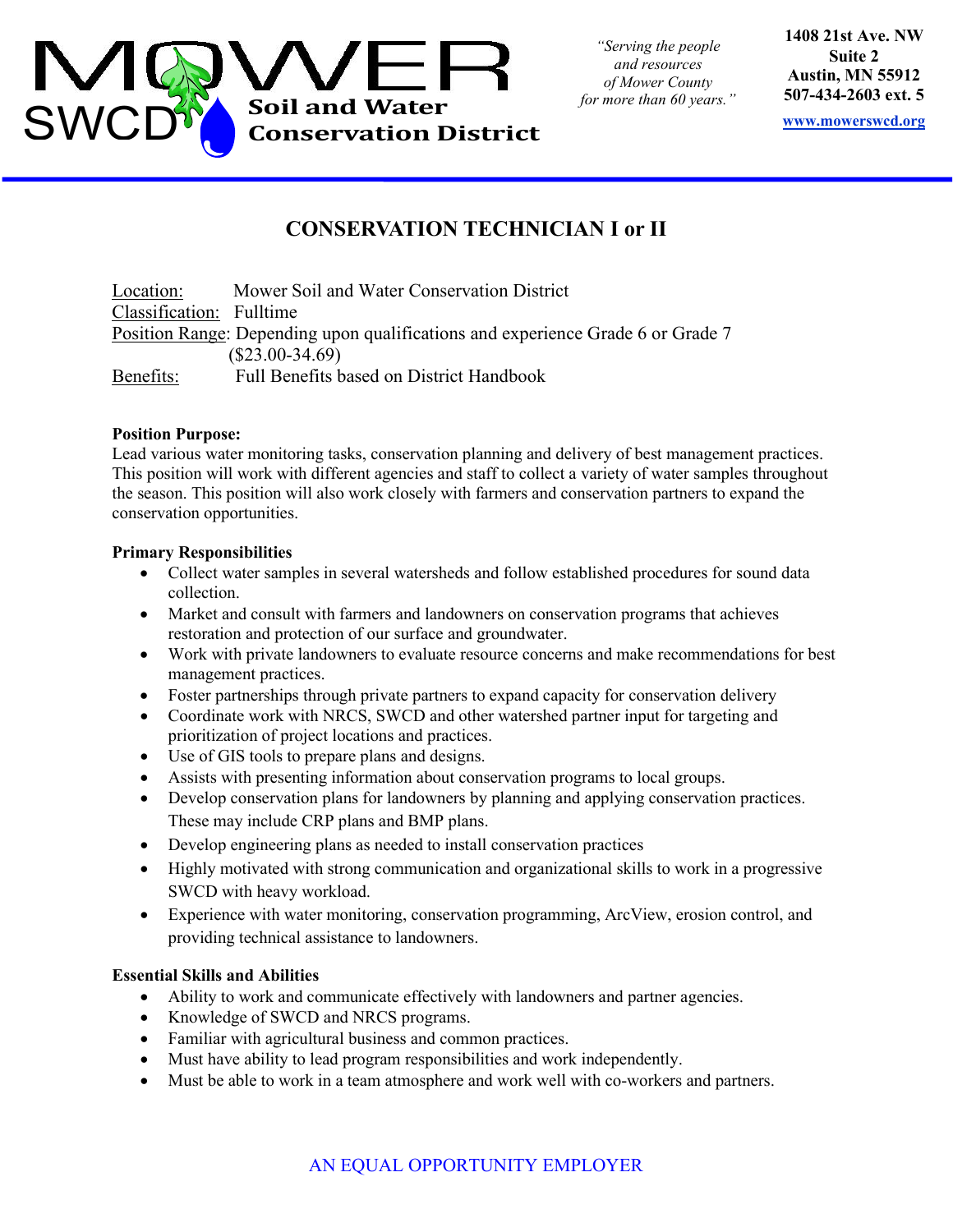

*"Serving the people and resources of Mower County for more than 60 years."* **1408 21st Ave. NW Suite 2 Austin, MN 55912 507-434-2603 ext. 5** 

**www.mowerswcd.org**

# **CONSERVATION TECHNICIAN I or II**

Location: Mower Soil and Water Conservation District Classification: Fulltime Position Range: Depending upon qualifications and experience Grade 6 or Grade 7 (\$23.00-34.69) Benefits: Full Benefits based on District Handbook

## **Position Purpose:**

Lead various water monitoring tasks, conservation planning and delivery of best management practices. This position will work with different agencies and staff to collect a variety of water samples throughout the season. This position will also work closely with farmers and conservation partners to expand the conservation opportunities.

## **Primary Responsibilities**

- Collect water samples in several watersheds and follow established procedures for sound data collection.
- Market and consult with farmers and landowners on conservation programs that achieves restoration and protection of our surface and groundwater.
- Work with private landowners to evaluate resource concerns and make recommendations for best management practices.
- Foster partnerships through private partners to expand capacity for conservation delivery
- Coordinate work with NRCS, SWCD and other watershed partner input for targeting and prioritization of project locations and practices.
- Use of GIS tools to prepare plans and designs.
- Assists with presenting information about conservation programs to local groups.
- Develop conservation plans for landowners by planning and applying conservation practices. These may include CRP plans and BMP plans.
- Develop engineering plans as needed to install conservation practices
- Highly motivated with strong communication and organizational skills to work in a progressive SWCD with heavy workload.
- Experience with water monitoring, conservation programming, ArcView, erosion control, and providing technical assistance to landowners.

# **Essential Skills and Abilities**

- Ability to work and communicate effectively with landowners and partner agencies.
- Knowledge of SWCD and NRCS programs.
- Familiar with agricultural business and common practices.
- Must have ability to lead program responsibilities and work independently.
- Must be able to work in a team atmosphere and work well with co-workers and partners.